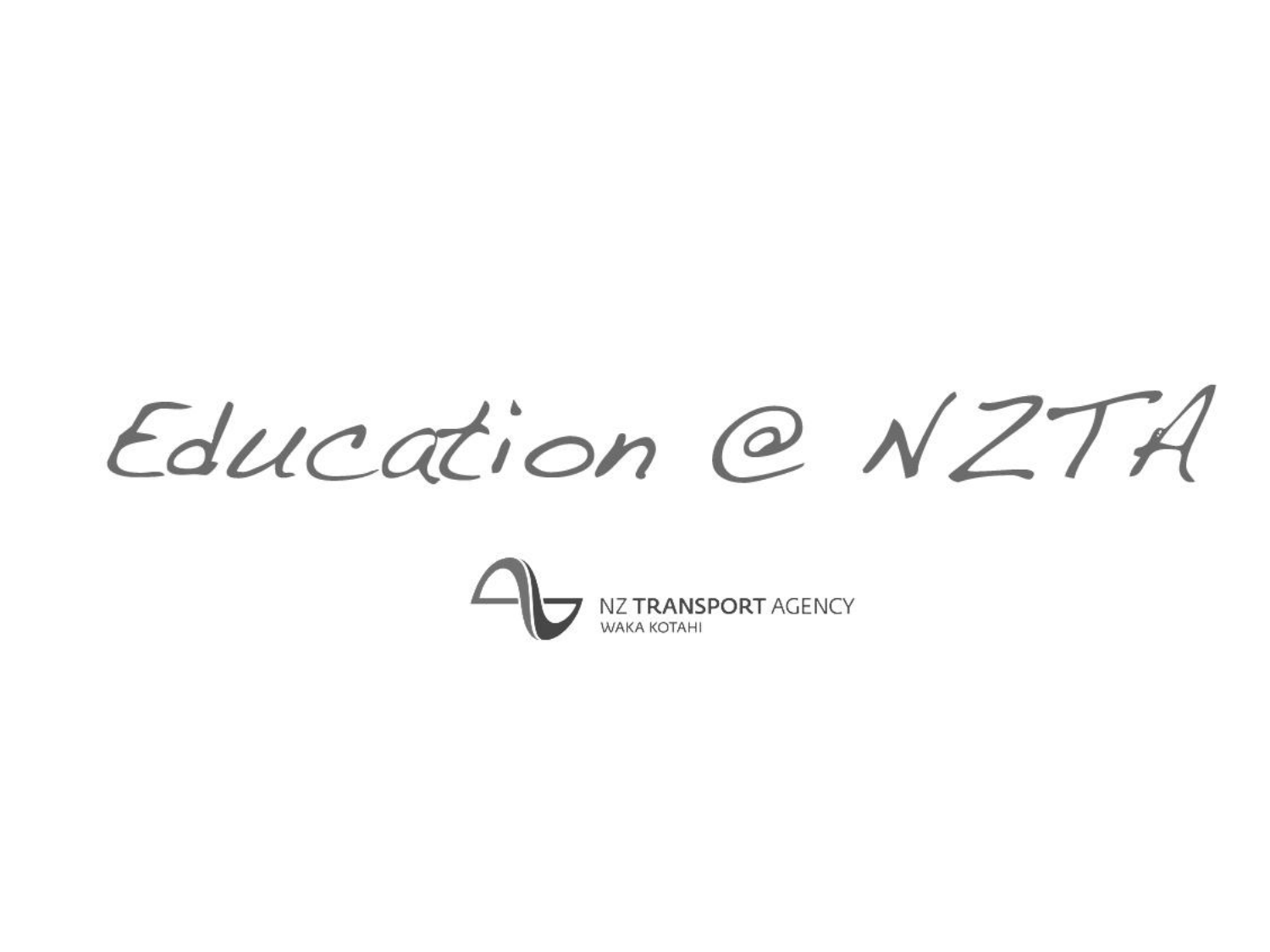Education @ NZTA

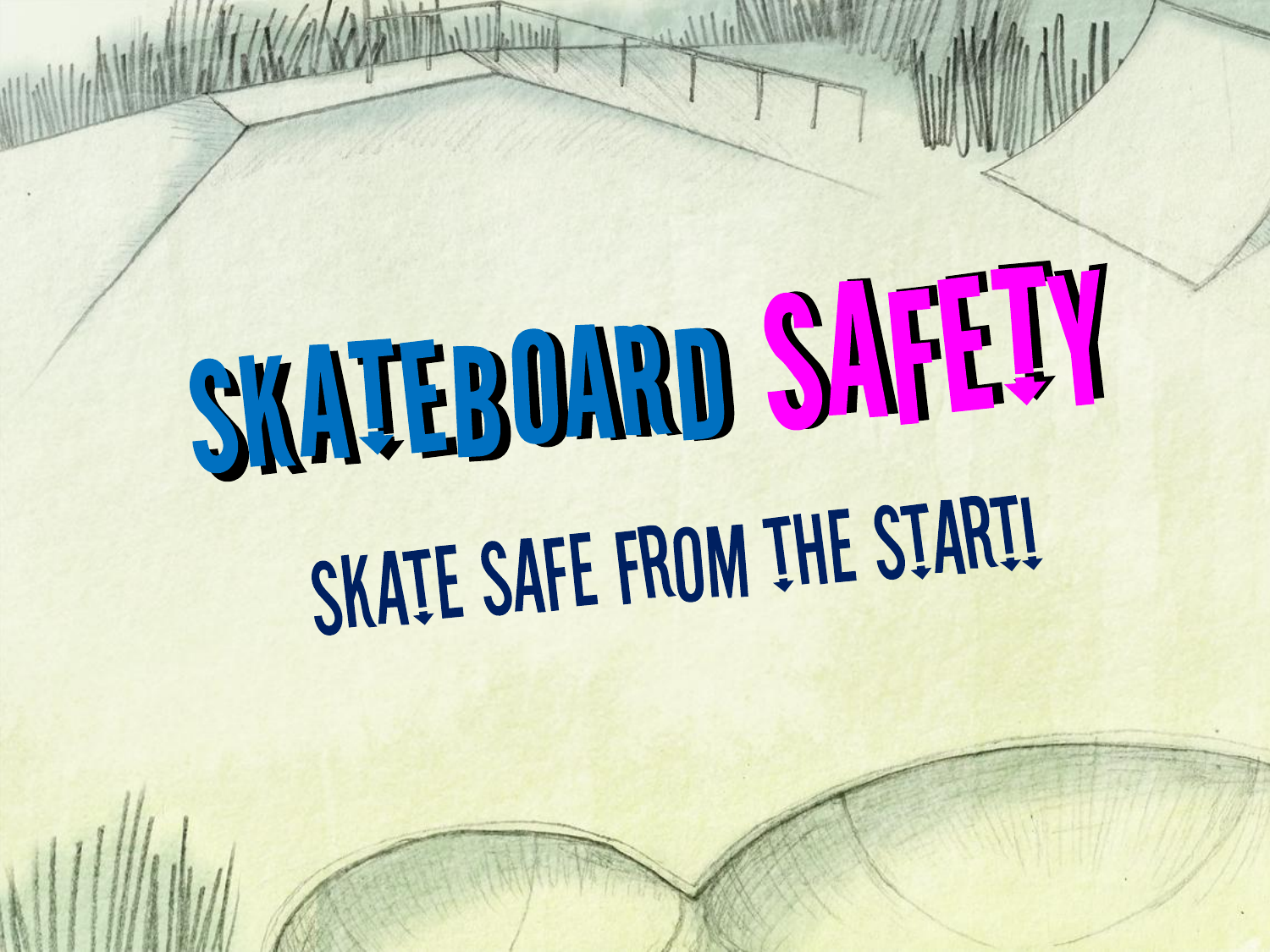# SKATEBOARD SAFETY SKATE SAFE FROM THE START!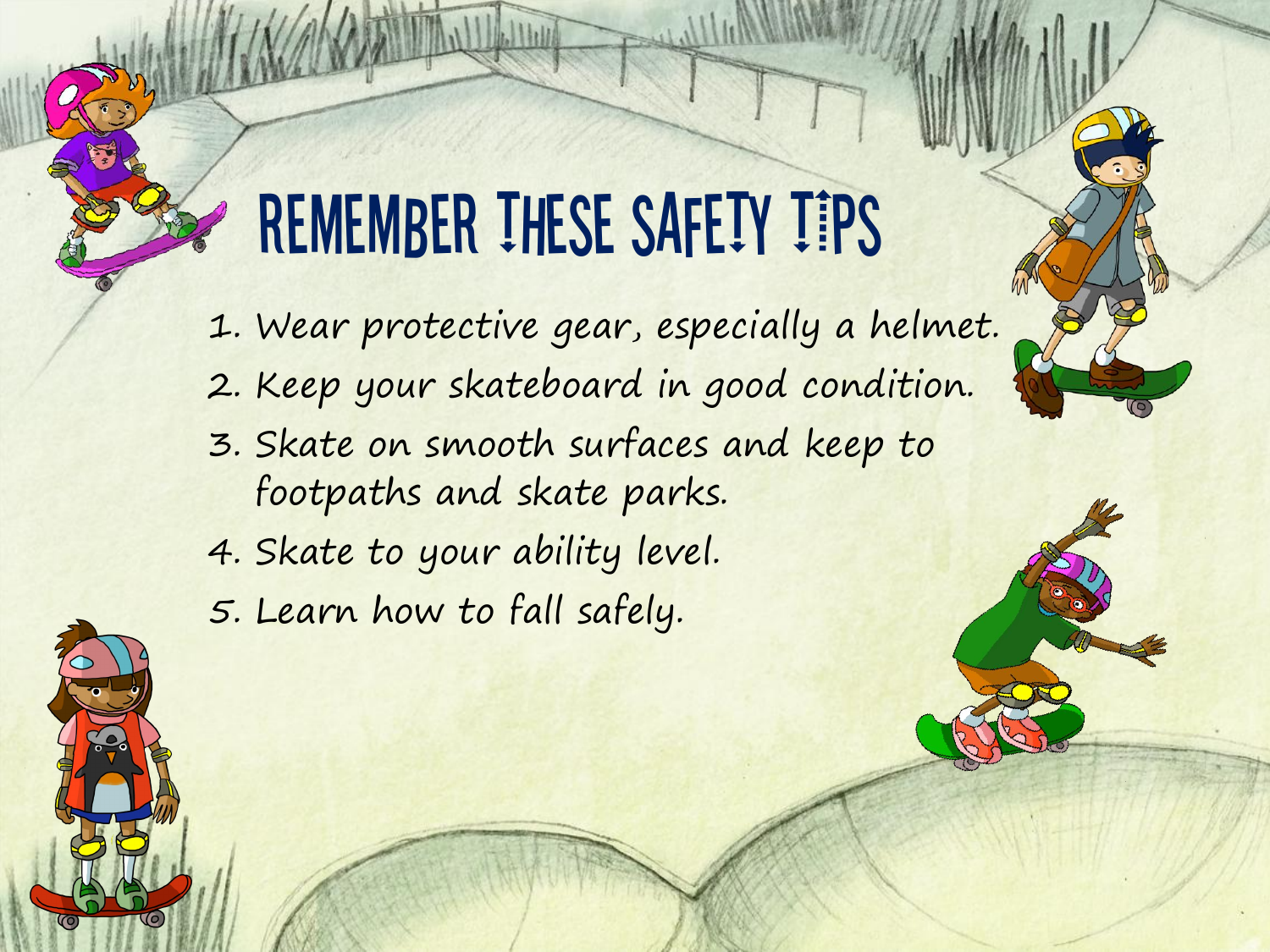## REMEMBER THESE SAFETY TIPS

1. Wear protective gear, especially a helmet. 2. Keep your skateboard in good condition. 3. Skate on smooth surfaces and keep to footpaths and skate parks. 4. Skate to your ability level. 5. Learn how to fall safely.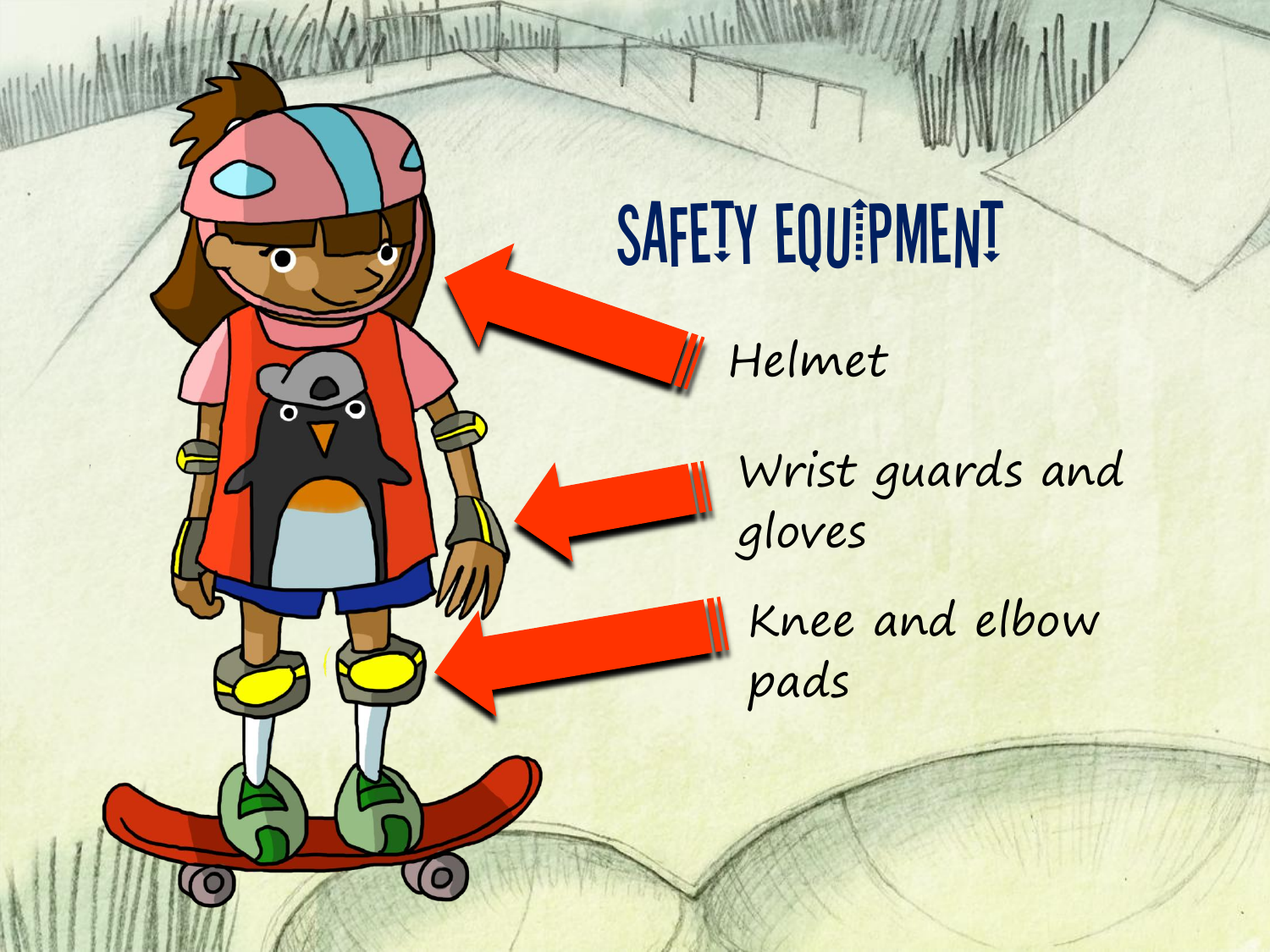

Ω

 $\Omega$ 

 $\bigcirc$ 

 $\overline{\mathbf{o}}$ 

Helmet

Wrist guards and gloves

Knee and elbow pads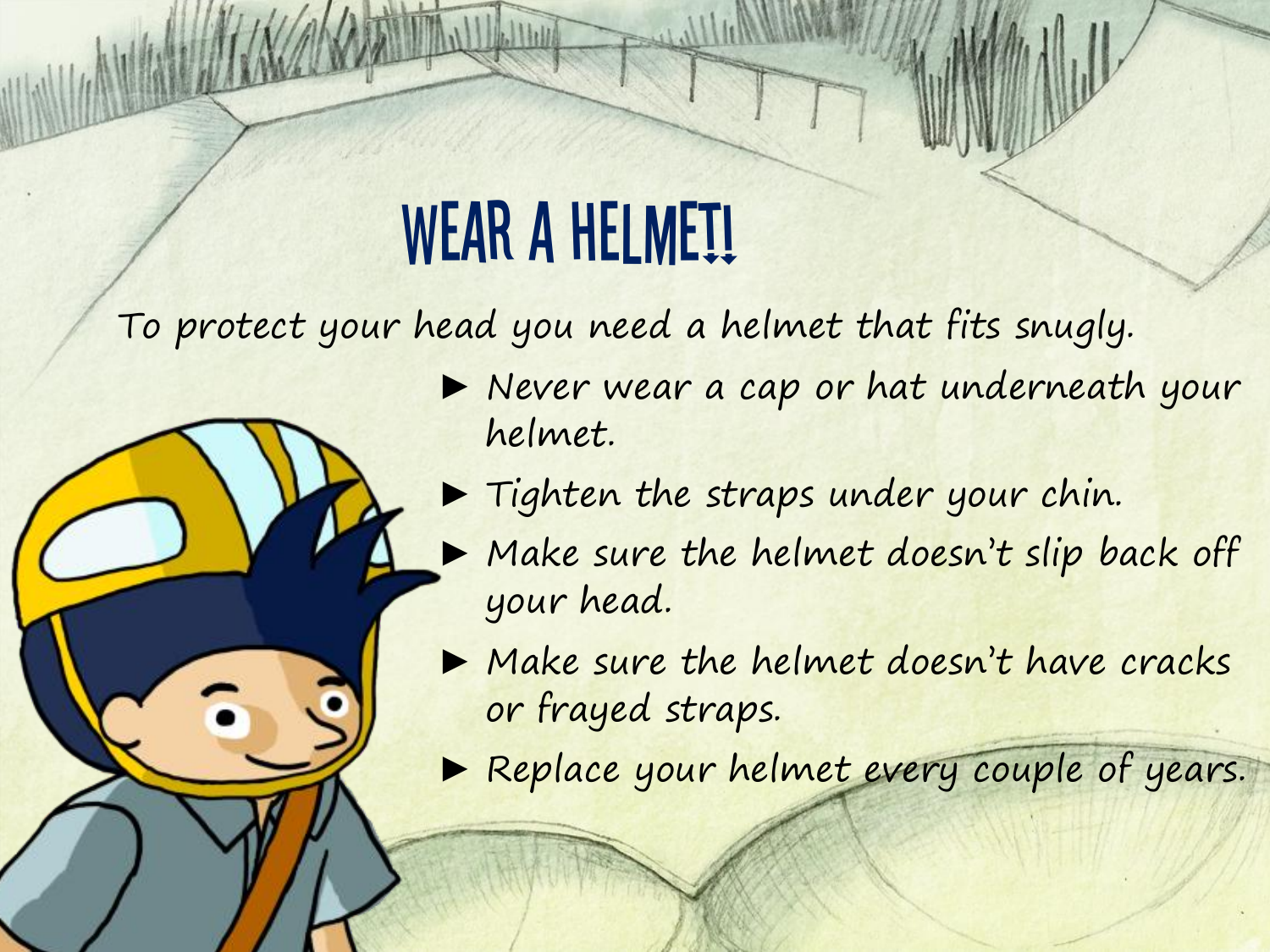#### WEAR A HELMET!

To protect your head you need a helmet that fits snugly.

- ▶ Never wear a cap or hat underneath your helmet.
- ► Tighten the straps under your chin.
- ▶ Make sure the helmet doesn't slip back off your head.
- ▶ Make sure the helmet doesn't have cracks or frayed straps.
- ▶ Replace your helmet every couple of years.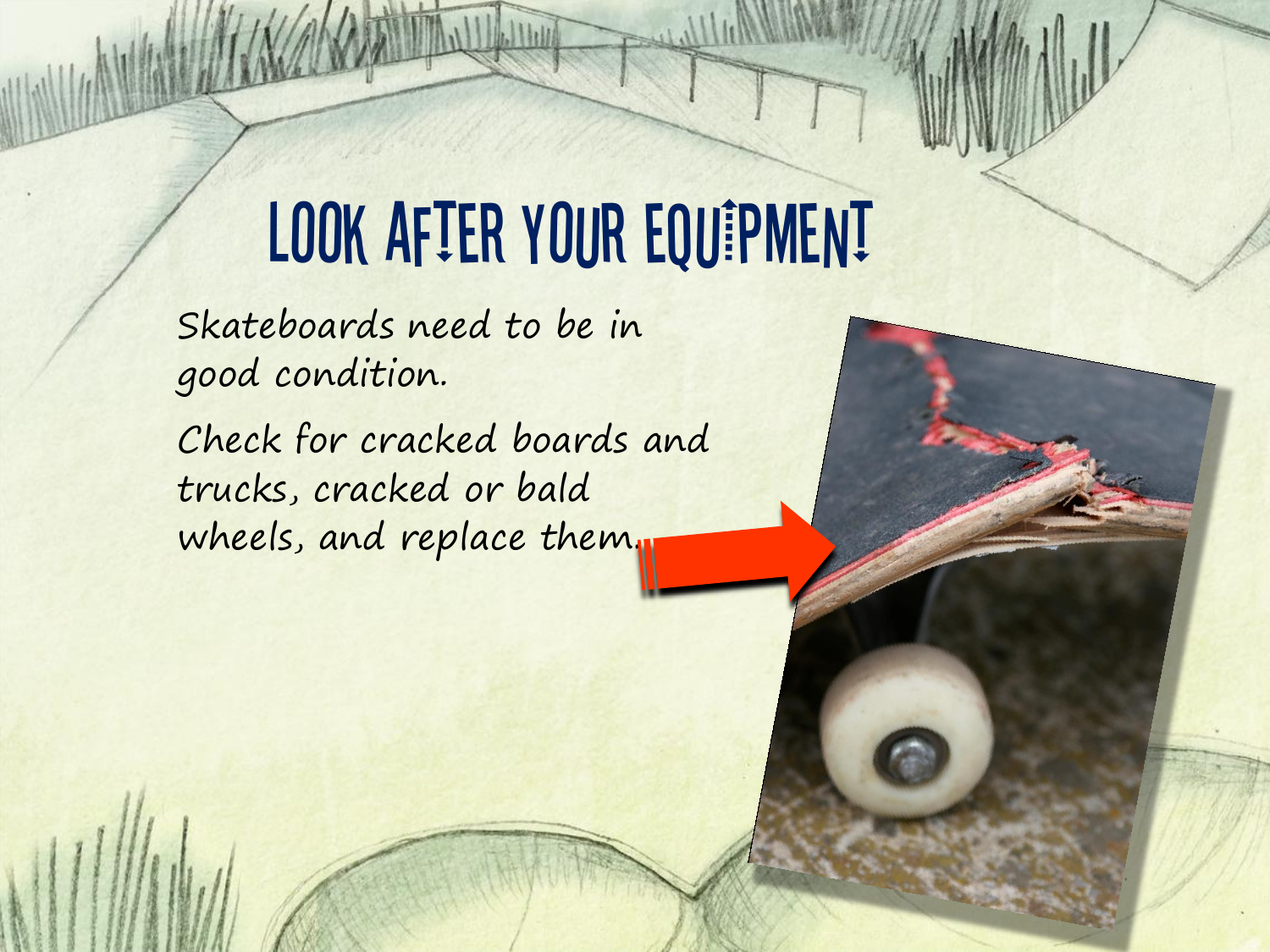# LOOK AFTER YOUR EQUIPMENT

Skateboards need to be in good condition.

Check for cracked boards and trucks, cracked or bald wheels, and replace them.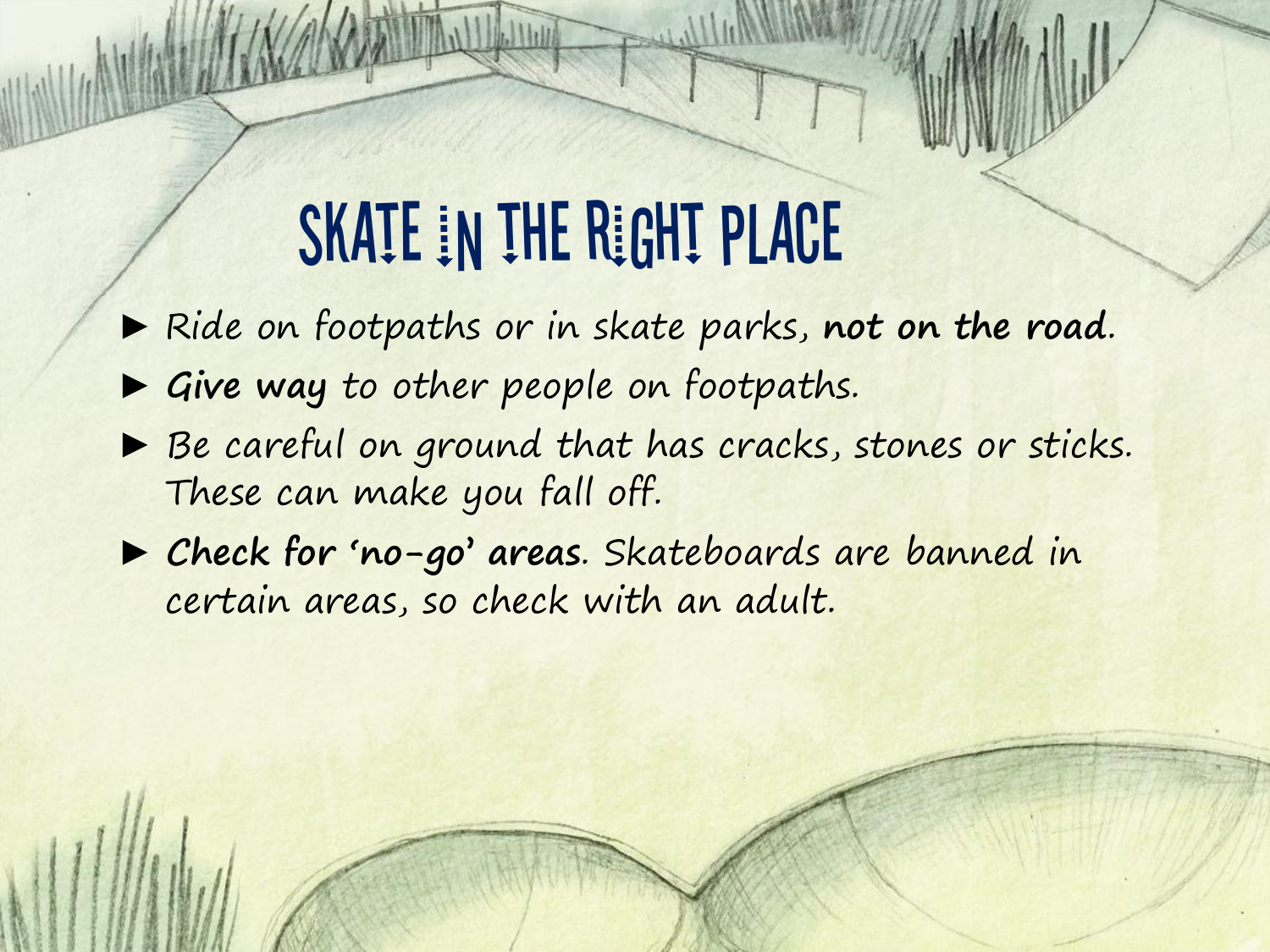#### SKATE IN THE RIGHT PLACE

► Ride on footpaths or in skate parks, **not on the road**.

- ► **Give way** to other people on footpaths.
- ▶ Be careful on ground that has cracks, stones or sticks. These can make you fall off.
- ► **Check for 'no-go' areas**. Skateboards are banned in certain areas, so check with an adult.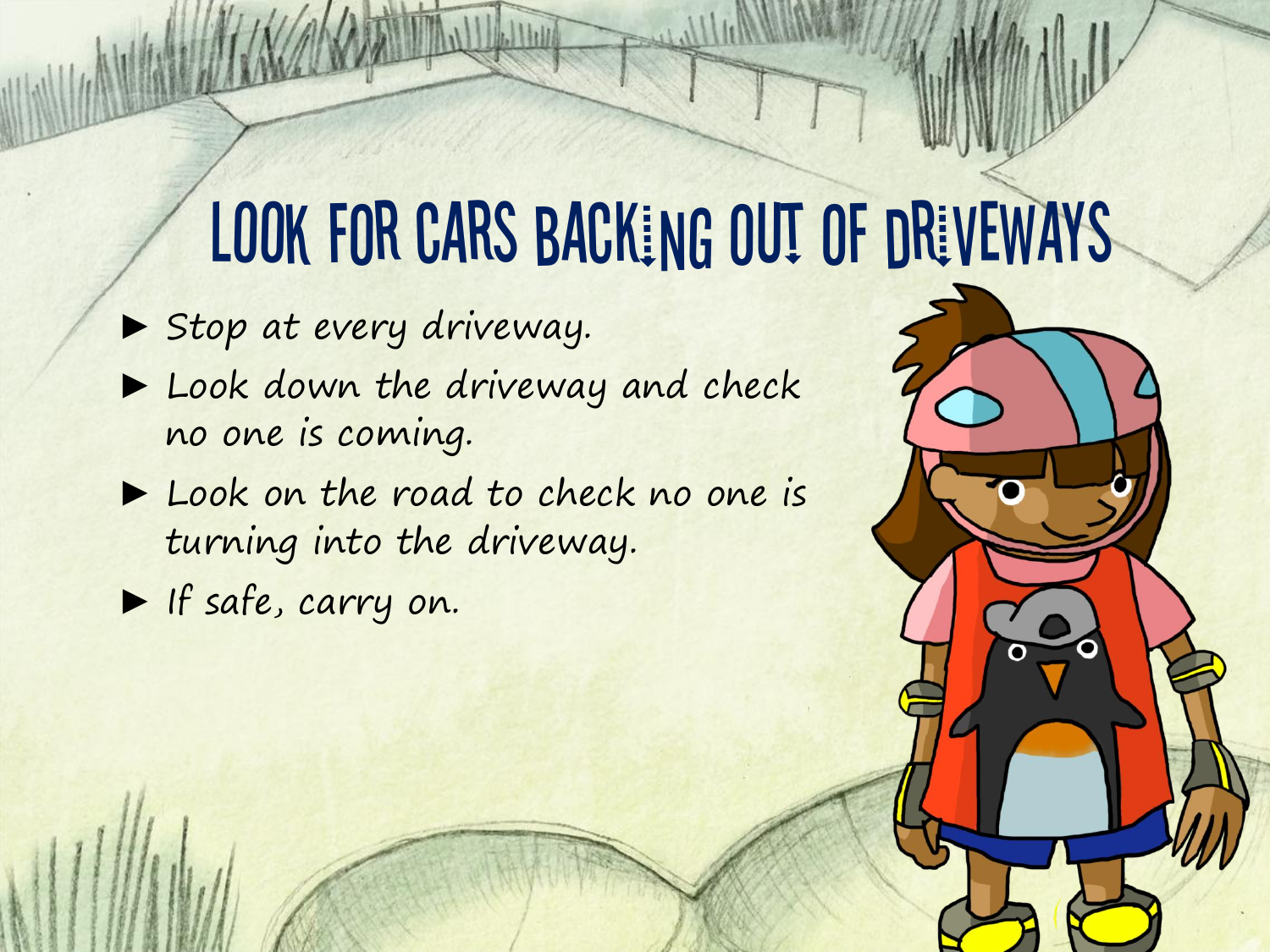#### LOOK FOR CARS BACKING OUT OF DRIVEWAYS

▶ Stop at every driveway.

- ▶ Look down the driveway and check no one is coming.
- ► Look on the road to check no one is turning into the driveway.

► If safe, carry on.